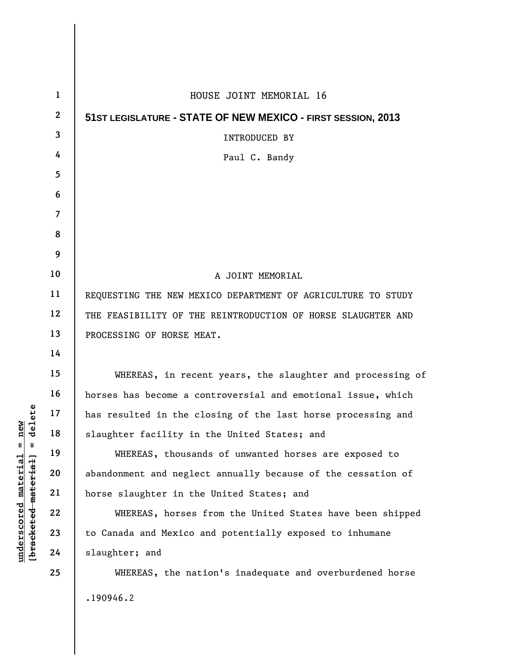| $\mathbf{1}$            | HOUSE JOINT MEMORIAL 16                                      |
|-------------------------|--------------------------------------------------------------|
| $\boldsymbol{2}$        | 51ST LEGISLATURE - STATE OF NEW MEXICO - FIRST SESSION, 2013 |
| 3                       | INTRODUCED BY                                                |
| 4                       | Paul C. Bandy                                                |
| 5                       |                                                              |
| 6                       |                                                              |
| $\overline{\mathbf{z}}$ |                                                              |
| 8                       |                                                              |
| 9                       |                                                              |
| 10                      | A JOINT MEMORIAL                                             |
| 11                      | REQUESTING THE NEW MEXICO DEPARTMENT OF AGRICULTURE TO STUDY |
| 12                      | THE FEASIBILITY OF THE REINTRODUCTION OF HORSE SLAUGHTER AND |
| 13                      | PROCESSING OF HORSE MEAT.                                    |
| 14                      |                                                              |
| 15                      | WHEREAS, in recent years, the slaughter and processing of    |
| 16                      | horses has become a controversial and emotional issue, which |
| 17                      | has resulted in the closing of the last horse processing and |
| 18                      | slaughter facility in the United States; and                 |
| 19                      | WHEREAS, thousands of unwanted horses are exposed to         |
| 20                      | abandonment and neglect annually because of the cessation of |
| 21                      | horse slaughter in the United States; and                    |
| 22                      | WHEREAS, horses from the United States have been shipped     |
| 23                      | to Canada and Mexico and potentially exposed to inhumane     |
| 24                      | slaughter; and                                               |
| 25                      | WHEREAS, the nation's inadequate and overburdened horse      |
|                         | .190946.2                                                    |

 $[**bracket eted metert et**] = **del et e**$ **[bracketed material] = delete**  $underscored material = new$ **underscored material = new**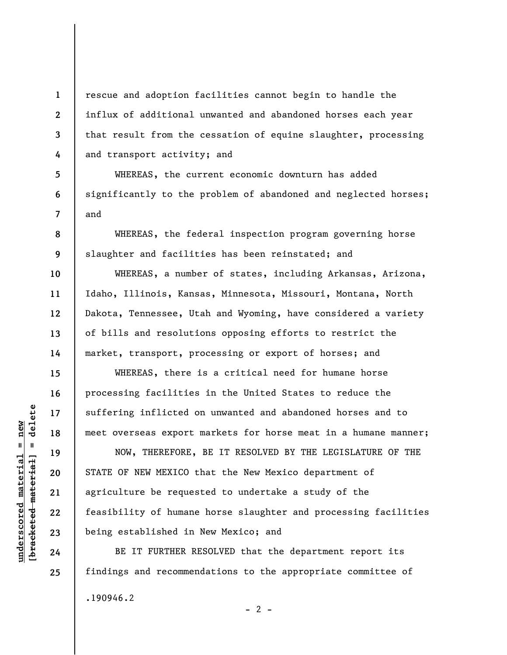rescue and adoption facilities cannot begin to handle the influx of additional unwanted and abandoned horses each year that result from the cessation of equine slaughter, processing and transport activity; and

WHEREAS, the current economic downturn has added significantly to the problem of abandoned and neglected horses; and

WHEREAS, the federal inspection program governing horse slaughter and facilities has been reinstated; and

WHEREAS, a number of states, including Arkansas, Arizona, Idaho, Illinois, Kansas, Minnesota, Missouri, Montana, North Dakota, Tennessee, Utah and Wyoming, have considered a variety of bills and resolutions opposing efforts to restrict the market, transport, processing or export of horses; and

WHEREAS, there is a critical need for humane horse processing facilities in the United States to reduce the suffering inflicted on unwanted and abandoned horses and to meet overseas export markets for horse meat in a humane manner;

NOW, THEREFORE, BE IT RESOLVED BY THE LEGISLATURE OF THE STATE OF NEW MEXICO that the New Mexico department of agriculture be requested to undertake a study of the feasibility of humane horse slaughter and processing facilities being established in New Mexico; and

BE IT FURTHER RESOLVED that the department report its findings and recommendations to the appropriate committee of .190946.2  $- 2 -$ 

 $\frac{1}{2}$  intereted material = delete **[bracketed material] = delete**  $underscored material = new$ **underscored material = new**

**1** 

**2** 

**3** 

**4** 

**5** 

**6** 

**7** 

**8** 

**9** 

**10** 

**11** 

**12** 

**13** 

**14** 

**15** 

**16** 

**17** 

**18** 

**19** 

**20** 

**21** 

**22** 

**23** 

**24** 

**25**